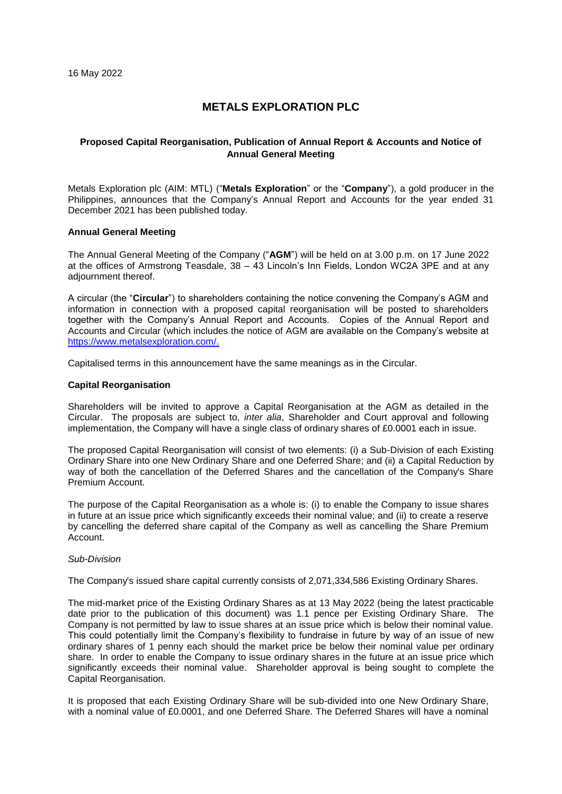# **METALS EXPLORATION PLC**

## **Proposed Capital Reorganisation, Publication of Annual Report & Accounts and Notice of Annual General Meeting**

Metals Exploration plc (AIM: MTL) ("**Metals Exploration**" or the "**Company**"), a gold producer in the Philippines, announces that the Company's Annual Report and Accounts for the year ended 31 December 2021 has been published today.

### **Annual General Meeting**

The Annual General Meeting of the Company ("**AGM**") will be held on at 3.00 p.m. on 17 June 2022 at the offices of Armstrong Teasdale, 38 – 43 Lincoln's Inn Fields, London WC2A 3PE and at any adjournment thereof.

A circular (the "**Circular**") to shareholders containing the notice convening the Company's AGM and information in connection with a proposed capital reorganisation will be posted to shareholders together with the Company's Annual Report and Accounts. Copies of the Annual Report and Accounts and Circular (which includes the notice of AGM are available on the Company's website at [https://www.metalsexploration.com/.](https://www.metalsexploration.com/)

Capitalised terms in this announcement have the same meanings as in the Circular.

#### **Capital Reorganisation**

Shareholders will be invited to approve a Capital Reorganisation at the AGM as detailed in the Circular. The proposals are subject to, *inter alia*, Shareholder and Court approval and following implementation, the Company will have a single class of ordinary shares of £0.0001 each in issue.

The proposed Capital Reorganisation will consist of two elements: (i) a Sub-Division of each Existing Ordinary Share into one New Ordinary Share and one Deferred Share; and (ii) a Capital Reduction by way of both the cancellation of the Deferred Shares and the cancellation of the Company's Share Premium Account.

The purpose of the Capital Reorganisation as a whole is: (i) to enable the Company to issue shares in future at an issue price which significantly exceeds their nominal value; and (ii) to create a reserve by cancelling the deferred share capital of the Company as well as cancelling the Share Premium Account.

#### *Sub-Division*

The Company's issued share capital currently consists of 2,071,334,586 Existing Ordinary Shares.

The mid-market price of the Existing Ordinary Shares as at 13 May 2022 (being the latest practicable date prior to the publication of this document) was 1.1 pence per Existing Ordinary Share. The Company is not permitted by law to issue shares at an issue price which is below their nominal value. This could potentially limit the Company's flexibility to fundraise in future by way of an issue of new ordinary shares of 1 penny each should the market price be below their nominal value per ordinary share. In order to enable the Company to issue ordinary shares in the future at an issue price which significantly exceeds their nominal value. Shareholder approval is being sought to complete the Capital Reorganisation.

It is proposed that each Existing Ordinary Share will be sub-divided into one New Ordinary Share, with a nominal value of £0.0001, and one Deferred Share. The Deferred Shares will have a nominal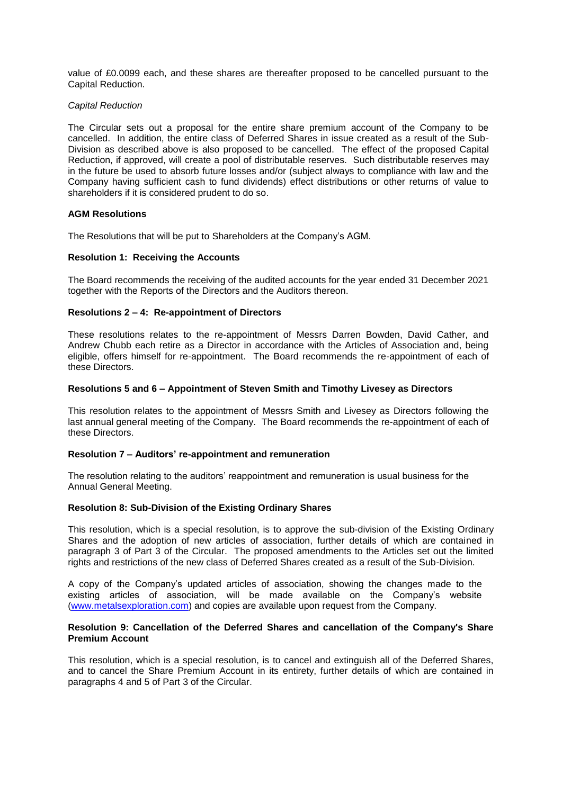value of £0.0099 each, and these shares are thereafter proposed to be cancelled pursuant to the Capital Reduction.

### *Capital Reduction*

The Circular sets out a proposal for the entire share premium account of the Company to be cancelled. In addition, the entire class of Deferred Shares in issue created as a result of the Sub-Division as described above is also proposed to be cancelled. The effect of the proposed Capital Reduction, if approved, will create a pool of distributable reserves. Such distributable reserves may in the future be used to absorb future losses and/or (subject always to compliance with law and the Company having sufficient cash to fund dividends) effect distributions or other returns of value to shareholders if it is considered prudent to do so.

### **AGM Resolutions**

The Resolutions that will be put to Shareholders at the Company's AGM.

### **Resolution 1: Receiving the Accounts**

The Board recommends the receiving of the audited accounts for the year ended 31 December 2021 together with the Reports of the Directors and the Auditors thereon.

#### **Resolutions 2 – 4: Re-appointment of Directors**

These resolutions relates to the re-appointment of Messrs Darren Bowden, David Cather, and Andrew Chubb each retire as a Director in accordance with the Articles of Association and, being eligible, offers himself for re-appointment. The Board recommends the re-appointment of each of these Directors.

#### **Resolutions 5 and 6 – Appointment of Steven Smith and Timothy Livesey as Directors**

This resolution relates to the appointment of Messrs Smith and Livesey as Directors following the last annual general meeting of the Company. The Board recommends the re-appointment of each of these Directors.

### **Resolution 7 – Auditors' re-appointment and remuneration**

The resolution relating to the auditors' reappointment and remuneration is usual business for the Annual General Meeting.

#### **Resolution 8: Sub-Division of the Existing Ordinary Shares**

This resolution, which is a special resolution, is to approve the sub-division of the Existing Ordinary Shares and the adoption of new articles of association, further details of which are contained in paragraph 3 of Part 3 of the Circular. The proposed amendments to the Articles set out the limited rights and restrictions of the new class of Deferred Shares created as a result of the Sub-Division.

A copy of the Company's updated articles of association, showing the changes made to the existing articles of association, will be made available on the Company's website [\(www.metalsexploration.com\)](http://www.metalsexploration.com/) and copies are available upon request from the Company.

### **Resolution 9: Cancellation of the Deferred Shares and cancellation of the Company's Share Premium Account**

This resolution, which is a special resolution, is to cancel and extinguish all of the Deferred Shares, and to cancel the Share Premium Account in its entirety, further details of which are contained in paragraphs 4 and 5 of Part 3 of the Circular.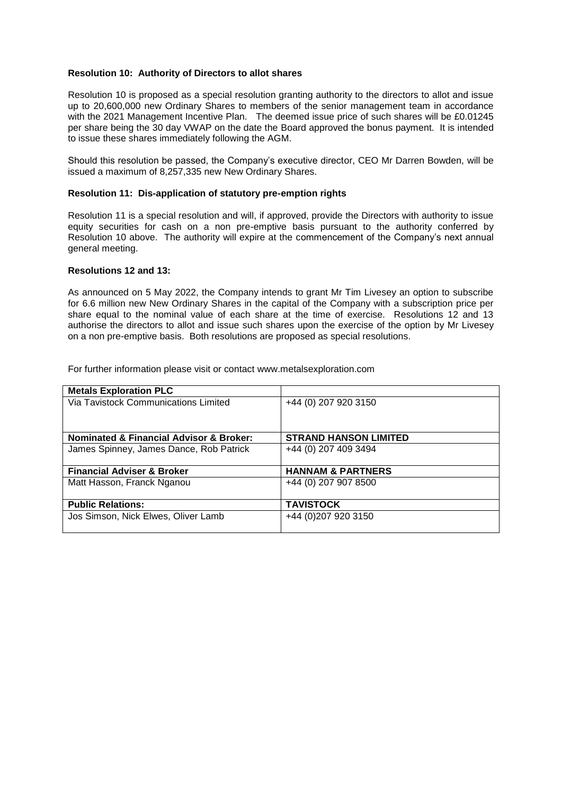## **Resolution 10: Authority of Directors to allot shares**

Resolution 10 is proposed as a special resolution granting authority to the directors to allot and issue up to 20,600,000 new Ordinary Shares to members of the senior management team in accordance with the 2021 Management Incentive Plan. The deemed issue price of such shares will be £0.01245 per share being the 30 day VWAP on the date the Board approved the bonus payment. It is intended to issue these shares immediately following the AGM.

Should this resolution be passed, the Company's executive director, CEO Mr Darren Bowden, will be issued a maximum of 8,257,335 new New Ordinary Shares.

#### **Resolution 11: Dis-application of statutory pre-emption rights**

Resolution 11 is a special resolution and will, if approved, provide the Directors with authority to issue equity securities for cash on a non pre-emptive basis pursuant to the authority conferred by Resolution 10 above. The authority will expire at the commencement of the Company's next annual general meeting.

#### **Resolutions 12 and 13:**

As announced on 5 May 2022, the Company intends to grant Mr Tim Livesey an option to subscribe for 6.6 million new New Ordinary Shares in the capital of the Company with a subscription price per share equal to the nominal value of each share at the time of exercise. Resolutions 12 and 13 authorise the directors to allot and issue such shares upon the exercise of the option by Mr Livesey on a non pre-emptive basis. Both resolutions are proposed as special resolutions.

For further information please visit or contact [www.metalsexploration.com](http://www.metalsexploration.com/)

| <b>Metals Exploration PLC</b>                          |                              |
|--------------------------------------------------------|------------------------------|
| Via Tavistock Communications Limited                   | +44 (0) 207 920 3150         |
|                                                        |                              |
|                                                        |                              |
| <b>Nominated &amp; Financial Advisor &amp; Broker:</b> | <b>STRAND HANSON LIMITED</b> |
| James Spinney, James Dance, Rob Patrick                | +44 (0) 207 409 3494         |
|                                                        |                              |
| <b>Financial Adviser &amp; Broker</b>                  | <b>HANNAM &amp; PARTNERS</b> |
| Matt Hasson, Franck Nganou                             | +44 (0) 207 907 8500         |
|                                                        |                              |
| <b>Public Relations:</b>                               | <b>TAVISTOCK</b>             |
| Jos Simson, Nick Elwes, Oliver Lamb                    | +44 (0) 207 920 3150         |
|                                                        |                              |